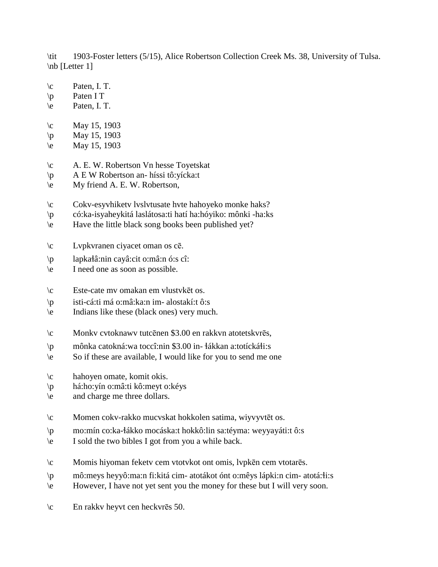\tit 1903-Foster letters (5/15), Alice Robertson Collection Creek Ms. 38, University of Tulsa. \nb [Letter 1]

- $\c$  Paten, I. T.
- \p Paten I T
- \e Paten, I. T.
- $\c$  May 15, 1903
- $\pi$  May 15, 1903
- $\text{May } 15, 1903$
- \c A. E. W. Robertson Vn hesse Toyetskat
- \p A E W Robertson an- híssi tô:yícka:t
- \e My friend A. E. W. Robertson,
- \c Cokv-esyvhiketv lvslvtusate hvte hahoyeko monke haks?
- \p có:ka-isyaheykitá laslátosa:ti hatí ha:hóyiko: mônki -ha:ks
- \e Have the little black song books been published yet?
- \c Lvpkvranen ciyacet oman os cē.
- \p lapka!â:nin cayâ:cit o:mâ:n ó:s cî:
- \e I need one as soon as possible.
- \c Este-cate mv omakan em vlustvkēt os.
- \p isti-cá:ti má o:mâ:ka:n im- alostakí:t ô:s
- \e Indians like these (black ones) very much.
- \c Monkv cvtoknawv tutcēnen \$3.00 en rakkvn atotetskvrēs,
- $\wp$  mônka catokná:wa toccî:nin \$3.00 in-  $\frac{1}{4}$ ákkan a:totícká $\frac{1}{3}$ :s
- \e So if these are available, I would like for you to send me one
- \c hahoyen omate, komit okis.
- \p há:ho:yín o:mâ:ti kô:meyt o:kéys
- \e and charge me three dollars.
- \c Momen cokv-rakko mucvskat hokkolen satima, wiyvyvtēt os.
- \p mo:mín co:ka-!ákko mocáska:t hokkô:lin sa:téyma: weyyayáti:t ô:s
- \e I sold the two bibles I got from you a while back.
- \c Momis hiyoman feketv cem vtotvkot ont omis, lvpkēn cem vtotarēs.
- $\varphi$  mô:meys heyyô:ma:n fi:kitá cim- atotákot ónt o:mêys lápki:n cim- atotá: $i$ i:s
- \e However, I have not yet sent you the money for these but I will very soon.
- \c En rakkv heyvt cen heckvrēs 50.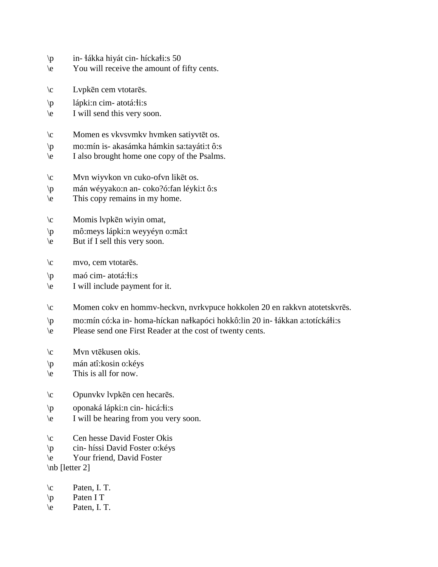- $\pi$  in-  $\frac{1}{4}$ ákka hiyát cin- hícka $\frac{1}{1}$ :s 50
- \e You will receive the amount of fifty cents.
- \c Lvpkēn cem vtotarēs.
- $\pi$  lápki:n cim-atotá: $\pi$ i:s
- \e I will send this very soon.
- \c Momen es vkvsvmkv hvmken satiyvtēt os.
- \p mo:mín is- akasámka hámkin sa:tayáti:t ô:s
- \e I also brought home one copy of the Psalms.
- \c Mvn wiyvkon vn cuko-ofvn likēt os.
- \p mán wéyyako:n an- coko?ó:fan léyki:t ô:s
- \e This copy remains in my home.
- \c Momis lvpkēn wiyin omat,
- \p mô:meys lápki:n weyyéyn o:mâ:t
- \e But if I sell this very soon.
- \c mvo, cem vtotarēs.
- $\pi$  maó cim- atotá: i:s
- \e I will include payment for it.
- \c Momen cokv en hommv-heckvn, nvrkvpuce hokkolen 20 en rakkvn atotetskvrēs.
- \p mo:mín có:ka in- homa-híckan nałkapóci hokkô:lin 20 in- łákkan a:totíckáłi:s
- \e Please send one First Reader at the cost of twenty cents.
- \c Mvn vtēkusen okis.
- \p mán atî:kosin o:kéys
- \e This is all for now.
- \c Opunvkv lvpkēn cen hecarēs.
- \p oponaká lápki:n cin- hicá: i:s
- \e I will be hearing from you very soon.
- \c Cen hesse David Foster Okis
- \p cin- híssi David Foster o:kéys
- \e Your friend, David Foster
- \nb [letter 2]
- \c Paten, I. T.
- \p Paten I T
- \e Paten, I. T.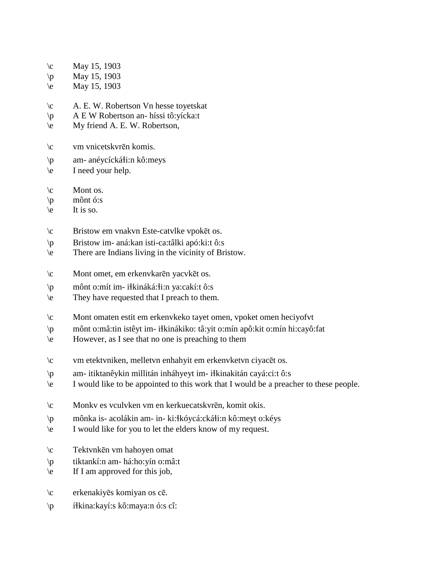- $\c$  May 15, 1903
- $\pi$  May 15, 1903
- $\text{May } 15, 1903$
- \c A. E. W. Robertson Vn hesse toyetskat
- \p A E W Robertson an- híssi tô:yícka:t
- \e My friend A. E. W. Robertson,
- \c vm vnicetskvrēn komis.
- $\pi$  am- anéycícká i:n kô:meys
- \e I need your help.
- $\operatorname{C}$  Mont os.
- \p mônt ó:s
- $\le$  It is so.
- \c Bristow em vnakvn Este-catvlke vpokēt os.
- \p Bristow im- aná:kan isti-ca:tâlki apó:ki:t ô:s
- \e There are Indians living in the vicinity of Bristow.
- \c Mont omet, em erkenvkarēn yacvkēt os.
- \p mônt o:mít im- i!kináká:!i:n ya:cakí:t ô:s
- \e They have requested that I preach to them.
- \c Mont omaten estit em erkenvkeko tayet omen, vpoket omen heciyofvt
- \p mônt o:mâ:tin istêyt im- i!kinákiko: tâ:yit o:mín apô:kit o:mín hi:cayô:fat
- \e However, as I see that no one is preaching to them
- \c vm etektvniken, melletvn enhahyit em erkenvketvn ciyacēt os.
- \p am- itiktanêykin millitán inháhyeyt im- i!kinakitán cayá:ci:t ô:s
- \e I would like to be appointed to this work that I would be a preacher to these people.
- \c Monkv es vculvken vm en kerkuecatskvrēn, komit okis.
- \p mônka is- acolákin am- in- ki:!kóycá:cká!i:n kô:meyt o:kéys
- \e I would like for you to let the elders know of my request.
- \c Tektvnkēn vm hahoyen omat
- \p tiktankí:n am- há:ho:yín o:mâ:t
- \e If I am approved for this job,
- \c erkenakiyēs komiyan os cē.
- \p í!kina:kayí:s kô:maya:n ó:s cî: